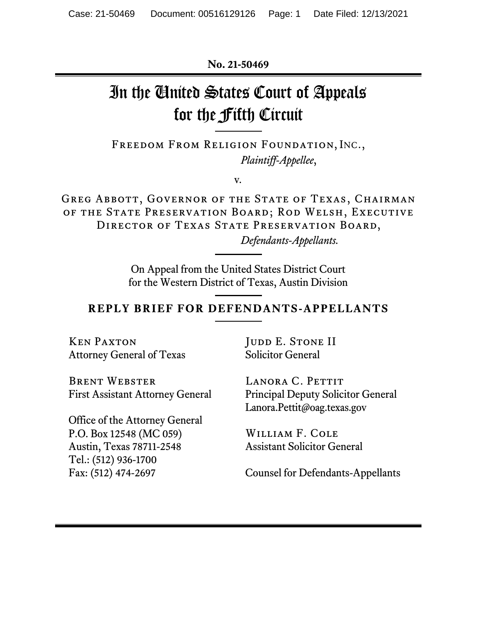**No. 21-50469**

# In the United States Court of Appeals for the Fifth Circuit

Freedom From Religion Foundation, INC., *Plaintiff-Appellee*,

v*.*

GREG ABBOTT, GOVERNOR OF THE STATE OF TEXAS, CHAIRMAN of the State Preservation Board; Rod Welsh, Executive DIRECTOR OF TEXAS STATE PRESERVATION BOARD,

*Defendants-Appellants.*

On Appeal from the United States District Court for the Western District of Texas, Austin Division

### **REPLY BRIEF FOR DEFENDANTS-APPELLANTS**

Ken Paxton Attorney General of Texas

Brent Webster

Office of the Attorney General P.O. Box 12548 (MC 059) Austin, Texas 78711-2548 Tel.: (512) 936-1700

Fax: (512) 474-2697

First Assistant Attorney General

JUDD E. STONE II Solicitor General

LANORA C. PETTIT Principal Deputy Solicitor General Lanora.Pettit@oag.texas.gov

William F. Cole Assistant Solicitor General

Counsel for Defendants-Appellants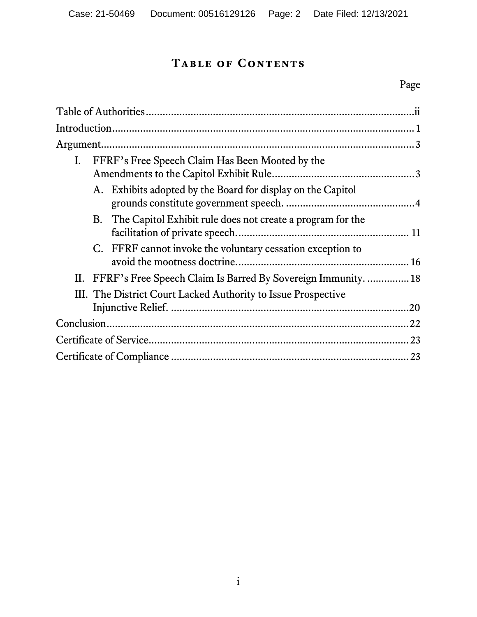# **Table of Contents**

# Page

| $\mathbf{I}$ . |  | FFRF's Free Speech Claim Has Been Mooted by the                   |     |
|----------------|--|-------------------------------------------------------------------|-----|
|                |  | A. Exhibits adopted by the Board for display on the Capitol       |     |
|                |  | B. The Capitol Exhibit rule does not create a program for the     |     |
|                |  | C. FFRF cannot invoke the voluntary cessation exception to        |     |
|                |  | II. FFRF's Free Speech Claim Is Barred By Sovereign Immunity.  18 |     |
|                |  | III. The District Court Lacked Authority to Issue Prospective     | .20 |
|                |  |                                                                   |     |
|                |  |                                                                   |     |
|                |  |                                                                   |     |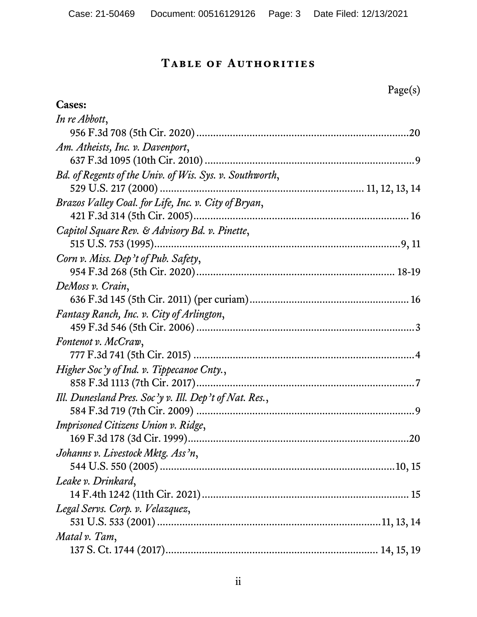# **Table of Authorities**

Page(s)

<span id="page-2-0"></span>

| <b>Cases:</b>                                           |
|---------------------------------------------------------|
| In re Abbott,                                           |
|                                                         |
| Am. Atheists, Inc. v. Davenport,                        |
|                                                         |
| Bd. of Regents of the Univ. of Wis. Sys. v. Southworth, |
|                                                         |
| Brazos Valley Coal. for Life, Inc. v. City of Bryan,    |
|                                                         |
| Capitol Square Rev. & Advisory Bd. v. Pinette,          |
|                                                         |
| Corn v. Miss. Dep't of Pub. Safety,                     |
|                                                         |
| DeMoss v. Crain,                                        |
|                                                         |
| Fantasy Ranch, Inc. v. City of Arlington,               |
|                                                         |
| Fontenot v. McCraw,                                     |
|                                                         |
| Higher Soc'y of Ind. v. Tippecanoe Cnty.,               |
|                                                         |
| Ill. Dunesland Pres. Soc'y v. Ill. Dep't of Nat. Res.,  |
|                                                         |
| Imprisoned Citizens Union v. Ridge,                     |
|                                                         |
| Johanns v. Livestock Mktg. Ass'n,                       |
|                                                         |
| Leake v. Drinkard,                                      |
|                                                         |
| Legal Servs. Corp. v. Velazquez,                        |
|                                                         |
| Matal v. Tam,                                           |
|                                                         |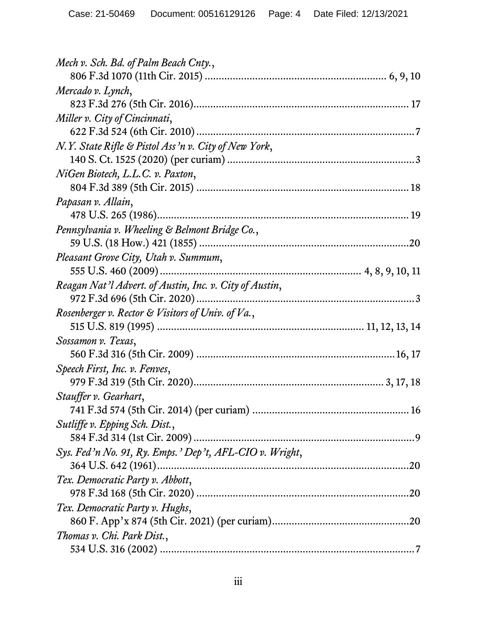| Mech v. Sch. Bd. of Palm Beach Cnty.,                   |  |
|---------------------------------------------------------|--|
|                                                         |  |
| Mercado v. Lynch,                                       |  |
|                                                         |  |
| Miller v. City of Cincinnati,                           |  |
|                                                         |  |
| N.Y. State Rifle & Pistol Ass'n v. City of New York,    |  |
|                                                         |  |
| NiGen Biotech, L.L.C. v. Paxton,                        |  |
|                                                         |  |
| Papasan v. Allain,                                      |  |
|                                                         |  |
| Pennsylvania v. Wheeling & Belmont Bridge Co.,          |  |
|                                                         |  |
| Pleasant Grove City, Utah v. Summum,                    |  |
|                                                         |  |
| Reagan Nat'l Advert. of Austin, Inc. v. City of Austin, |  |
|                                                         |  |
| Rosenberger v. Rector & Visitors of Univ. of Va.,       |  |
|                                                         |  |
| Sossamon v. Texas,                                      |  |
|                                                         |  |
| Speech First, Inc. v. Fenves,                           |  |
|                                                         |  |
| Stauffer v. Gearhart,                                   |  |
|                                                         |  |
| Sutliffe v. Epping Sch. Dist.,                          |  |
| Sys. Fed'n No. 91, Ry. Emps.' Dep't, AFL-CIO v. Wright, |  |
|                                                         |  |
| Tex. Democratic Party v. Abbott,                        |  |
|                                                         |  |
| Tex. Democratic Party v. Hughs,                         |  |
|                                                         |  |
| Thomas v. Chi. Park Dist.,                              |  |
|                                                         |  |
|                                                         |  |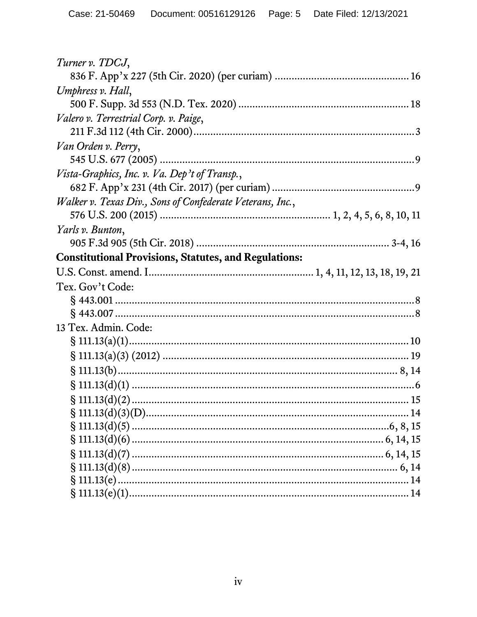| Turner v. TDCJ,                                              |
|--------------------------------------------------------------|
|                                                              |
| Umphress v. Hall,                                            |
|                                                              |
| Valero v. Terrestrial Corp. v. Paige,                        |
|                                                              |
| Van Orden v. Perry,                                          |
|                                                              |
| Vista-Graphics, Inc. v. Va. Dep't of Transp.,                |
|                                                              |
| Walker v. Texas Div., Sons of Confederate Veterans, Inc.,    |
|                                                              |
| Yarls v. Bunton,                                             |
|                                                              |
| <b>Constitutional Provisions, Statutes, and Regulations:</b> |
|                                                              |
| Tex. Gov't Code:                                             |
|                                                              |
|                                                              |
| 13 Tex. Admin. Code:                                         |
|                                                              |
|                                                              |
|                                                              |
|                                                              |
|                                                              |
|                                                              |
|                                                              |
|                                                              |
|                                                              |
|                                                              |
|                                                              |
|                                                              |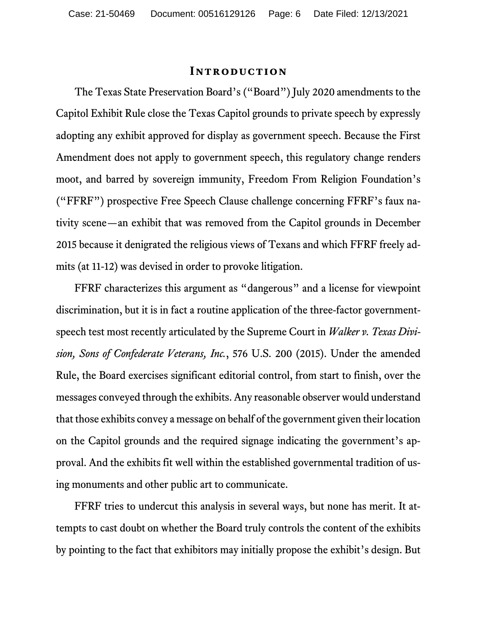#### <span id="page-5-2"></span>**Introduction**

<span id="page-5-0"></span>The Texas State Preservation Board's ("Board") July 2020 amendments to the Capitol Exhibit Rule close the Texas Capitol grounds to private speech by expressly adopting any exhibit approved for display as government speech. Because the First Amendment does not apply to government speech, this regulatory change renders moot, and barred by sovereign immunity, Freedom From Religion Foundation's ("FFRF") prospective Free Speech Clause challenge concerning FFRF's faux nativity scene—an exhibit that was removed from the Capitol grounds in December 2015 because it denigrated the religious views of Texans and which FFRF freely admits (at 11-12) was devised in order to provoke litigation.

<span id="page-5-1"></span>FFRF characterizes this argument as "dangerous" and a license for viewpoint discrimination, but it is in fact a routine application of the three-factor governmentspeech test most recently articulated by the Supreme Court in *Walker v. Texas Division, Sons of Confederate Veterans, Inc.*, 576 U.S. 200 (2015). Under the amended Rule, the Board exercises significant editorial control, from start to finish, over the messages conveyed through the exhibits.Any reasonable observer would understand that those exhibits convey a message on behalf of the government given their location on the Capitol grounds and the required signage indicating the government's approval. And the exhibits fit well within the established governmental tradition of using monuments and other public art to communicate.

FFRF tries to undercut this analysis in several ways, but none has merit. It attempts to cast doubt on whether the Board truly controls the content of the exhibits by pointing to the fact that exhibitors may initially propose the exhibit's design. But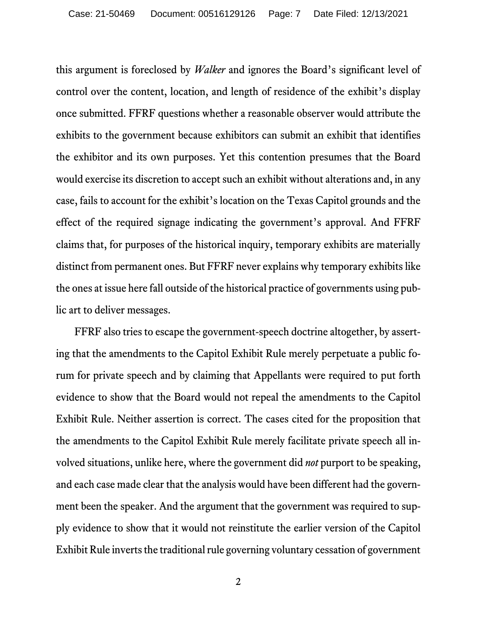<span id="page-6-0"></span>this argument is foreclosed by *Walker* and ignores the Board's significant level of control over the content, location, and length of residence of the exhibit's display once submitted. FFRF questions whether a reasonable observer would attribute the exhibits to the government because exhibitors can submit an exhibit that identifies the exhibitor and its own purposes. Yet this contention presumes that the Board would exercise its discretion to accept such an exhibit without alterations and, in any case, fails to account for the exhibit's location on the Texas Capitol grounds and the effect of the required signage indicating the government's approval. And FFRF claims that, for purposes of the historical inquiry, temporary exhibits are materially distinct from permanent ones. But FFRF never explains why temporary exhibits like the ones at issue here fall outside of the historical practice of governments using public art to deliver messages.

FFRF also tries to escape the government-speech doctrine altogether, by asserting that the amendments to the Capitol Exhibit Rule merely perpetuate a public forum for private speech and by claiming that Appellants were required to put forth evidence to show that the Board would not repeal the amendments to the Capitol Exhibit Rule. Neither assertion is correct. The cases cited for the proposition that the amendments to the Capitol Exhibit Rule merely facilitate private speech all involved situations, unlike here, where the government did *not* purport to be speaking, and each case made clear that the analysis would have been different had the government been the speaker. And the argument that the government was required to supply evidence to show that it would not reinstitute the earlier version of the Capitol Exhibit Rule inverts the traditional rule governing voluntary cessation of government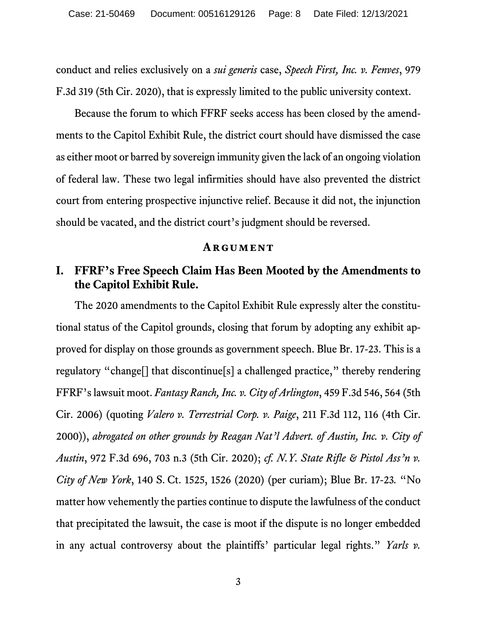conduct and relies exclusively on a *sui generis* case, *Speech First, Inc. v. Fenves*, 979 F.3d 319 (5th Cir. 2020), that is expressly limited to the public university context.

Because the forum to which FFRF seeks access has been closed by the amendments to the Capitol Exhibit Rule, the district court should have dismissed the case as either moot or barred by sovereign immunity given the lack of an ongoing violation of federal law. These two legal infirmities should have also prevented the district court from entering prospective injunctive relief. Because it did not, the injunction should be vacated, and the district court's judgment should be reversed.

#### <span id="page-7-7"></span><span id="page-7-5"></span><span id="page-7-4"></span><span id="page-7-3"></span>**Argument**

## <span id="page-7-1"></span><span id="page-7-0"></span>**I. FFRF's Free Speech Claim Has Been Mooted by the Amendments to the Capitol Exhibit Rule.**

<span id="page-7-6"></span><span id="page-7-2"></span>The 2020 amendments to the Capitol Exhibit Rule expressly alter the constitutional status of the Capitol grounds, closing that forum by adopting any exhibit approved for display on those grounds as government speech. Blue Br. 17-23. This is a regulatory "change[] that discontinue[s] a challenged practice," thereby rendering FFRF's lawsuit moot. *Fantasy Ranch, Inc. v. City of Arlington*, 459 F.3d 546, 564 (5th Cir. 2006) (quoting *Valero v. Terrestrial Corp. v. Paige*, 211 F.3d 112, 116 (4th Cir. 2000)), *abrogated on other grounds by Reagan Nat'l Advert. of Austin, Inc. v. City of Austin*, 972 F.3d 696, 703 n.3 (5th Cir. 2020); *cf. N.Y. State Rifle & Pistol Ass'n v. City of New York*, 140 S. Ct. 1525, 1526 (2020) (per curiam); Blue Br. 17-23*.* "No matter how vehemently the parties continue to dispute the lawfulness of the conduct that precipitated the lawsuit, the case is moot if the dispute is no longer embedded in any actual controversy about the plaintiffs' particular legal rights." *Yarls v.*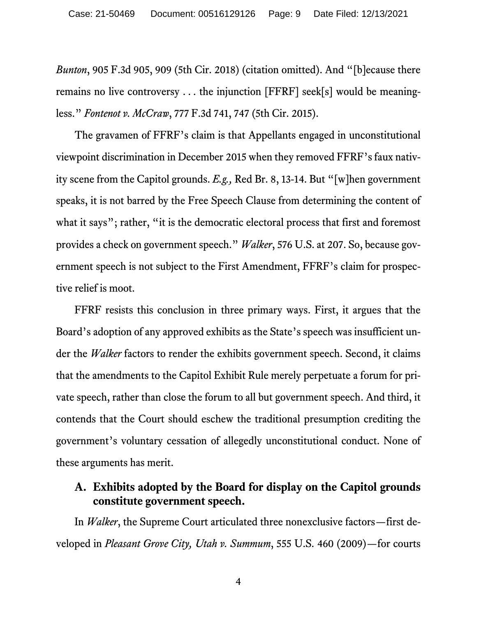*Bunton*, 905 F.3d 905, 909 (5th Cir. 2018) (citation omitted). And "[b]ecause there remains no live controversy . . . the injunction [FFRF] seek[s] would be meaningless." *Fontenot v. McCraw*, 777 F.3d 741, 747 (5th Cir. 2015).

<span id="page-8-4"></span><span id="page-8-1"></span>The gravamen of FFRF's claim is that Appellants engaged in unconstitutional viewpoint discrimination in December 2015 when they removed FFRF's faux nativity scene from the Capitol grounds. *E.g.,* Red Br. 8, 13-14. But "[w]hen government speaks, it is not barred by the Free Speech Clause from determining the content of what it says"; rather, "it is the democratic electoral process that first and foremost provides a check on government speech." *Walker*, 576 U.S. at 207. So, because government speech is not subject to the First Amendment, FFRF's claim for prospective relief is moot.

<span id="page-8-3"></span>FFRF resists this conclusion in three primary ways. First, it argues that the Board's adoption of any approved exhibits as the State's speech was insufficient under the *Walker* factors to render the exhibits government speech. Second, it claims that the amendments to the Capitol Exhibit Rule merely perpetuate a forum for private speech, rather than close the forum to all but government speech. And third, it contends that the Court should eschew the traditional presumption crediting the government's voluntary cessation of allegedly unconstitutional conduct. None of these arguments has merit.

#### <span id="page-8-0"></span>**A. Exhibits adopted by the Board for display on the Capitol grounds constitute government speech.**

<span id="page-8-2"></span>In *Walker*, the Supreme Court articulated three nonexclusive factors—first developed in *Pleasant Grove City, Utah v. Summum*, 555 U.S. 460 (2009)—for courts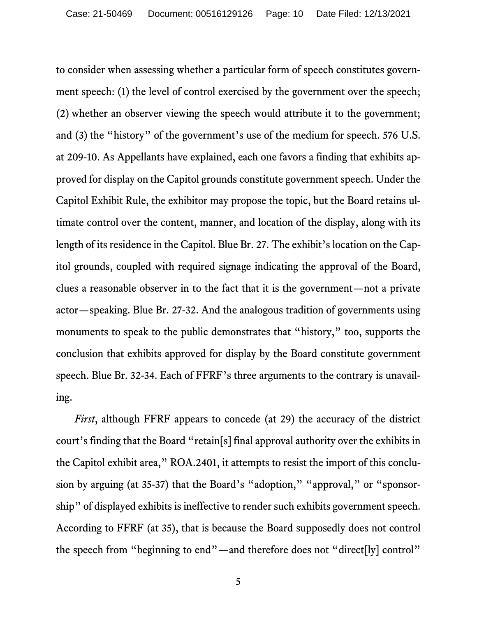<span id="page-9-0"></span>to consider when assessing whether a particular form of speech constitutes government speech: (1) the level of control exercised by the government over the speech; (2) whether an observer viewing the speech would attribute it to the government; and (3) the "history" of the government's use of the medium for speech. 576 U.S. at 209-10. As Appellants have explained, each one favors a finding that exhibits approved for display on the Capitol grounds constitute government speech. Under the Capitol Exhibit Rule, the exhibitor may propose the topic, but the Board retains ultimate control over the content, manner, and location of the display, along with its length of its residence in the Capitol. Blue Br. 27. The exhibit's location on the Capitol grounds, coupled with required signage indicating the approval of the Board, clues a reasonable observer in to the fact that it is the government—not a private actor—speaking. Blue Br. 27-32. And the analogous tradition of governments using monuments to speak to the public demonstrates that "history," too, supports the conclusion that exhibits approved for display by the Board constitute government speech. Blue Br. 32-34. Each of FFRF's three arguments to the contrary is unavailing.

*First*, although FFRF appears to concede (at 29) the accuracy of the district court's finding that the Board "retain[s] final approval authority over the exhibits in the Capitol exhibit area," ROA.2401, it attempts to resist the import of this conclusion by arguing (at 35-37) that the Board's "adoption," "approval," or "sponsorship" of displayed exhibits is ineffective to render such exhibits government speech. According to FFRF (at 35), that is because the Board supposedly does not control the speech from "beginning to end"—and therefore does not "direct[ly] control"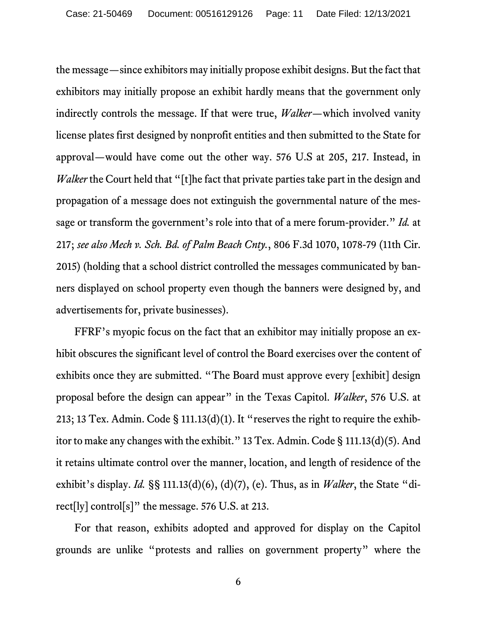<span id="page-10-1"></span>the message—since exhibitors may initially propose exhibit designs. But the fact that exhibitors may initially propose an exhibit hardly means that the government only indirectly controls the message. If that were true, *Walker*—which involved vanity license plates first designed by nonprofit entities and then submitted to the State for approval—would have come out the other way. 576 U.S at 205, 217. Instead, in *Walker* the Court held that "[t]he fact that private parties take part in the design and propagation of a message does not extinguish the governmental nature of the message or transform the government's role into that of a mere forum-provider." *Id.* at 217; *see also Mech v. Sch. Bd. of Palm Beach Cnty.*, 806 F.3d 1070, 1078-79 (11th Cir. 2015) (holding that a school district controlled the messages communicated by banners displayed on school property even though the banners were designed by, and advertisements for, private businesses).

<span id="page-10-2"></span><span id="page-10-0"></span>FFRF's myopic focus on the fact that an exhibitor may initially propose an exhibit obscures the significant level of control the Board exercises over the content of exhibits once they are submitted. "The Board must approve every [exhibit] design proposal before the design can appear" in the Texas Capitol. *Walker*, 576 U.S. at 213; 13 Tex. Admin. Code § 111.13(d)(1). It "reserves the right to require the exhibitor to make any changes with the exhibit." 13 Tex. Admin. Code § 111.13(d)(5). And it retains ultimate control over the manner, location, and length of residence of the exhibit's display. *Id.* §§ 111.13(d)(6), (d)(7), (e). Thus, as in *Walker*, the State "direct[ly] control[s]" the message. 576 U.S. at 213.

<span id="page-10-4"></span>For that reason, exhibits adopted and approved for display on the Capitol grounds are unlike "protests and rallies on government property" where the

<span id="page-10-3"></span>6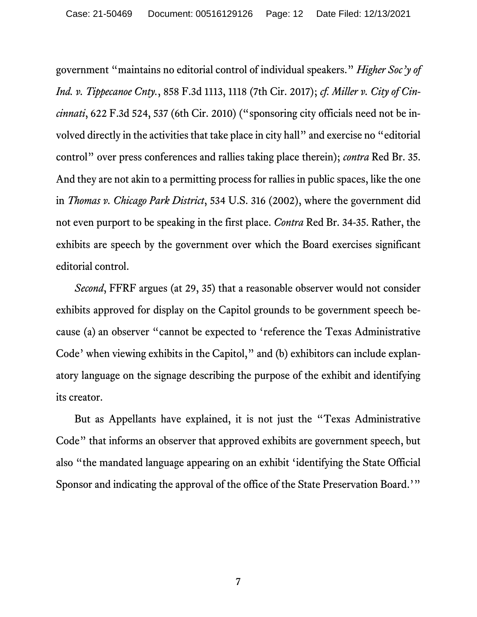<span id="page-11-1"></span><span id="page-11-0"></span>government "maintains no editorial control of individual speakers." *Higher Soc'y of Ind. v. Tippecanoe Cnty.*, 858 F.3d 1113, 1118 (7th Cir. 2017); *cf. Miller v. City of Cincinnati*, 622 F.3d 524, 537 (6th Cir. 2010) ("sponsoring city officials need not be involved directly in the activities that take place in city hall" and exercise no "editorial control" over press conferences and rallies taking place therein); *contra* Red Br. 35. And they are not akin to a permitting process for rallies in public spaces, like the one in *Thomas v. Chicago Park District*, 534 U.S. 316 (2002), where the government did not even purport to be speaking in the first place. *Contra* Red Br. 34-35. Rather, the exhibits are speech by the government over which the Board exercises significant editorial control.

<span id="page-11-2"></span>*Second*, FFRF argues (at 29, 35) that a reasonable observer would not consider exhibits approved for display on the Capitol grounds to be government speech because (a) an observer "cannot be expected to 'reference the Texas Administrative Code' when viewing exhibits in the Capitol," and (b) exhibitors can include explanatory language on the signage describing the purpose of the exhibit and identifying its creator.

But as Appellants have explained, it is not just the "Texas Administrative Code" that informs an observer that approved exhibits are government speech, but also "the mandated language appearing on an exhibit 'identifying the State Official Sponsor and indicating the approval of the office of the State Preservation Board.'"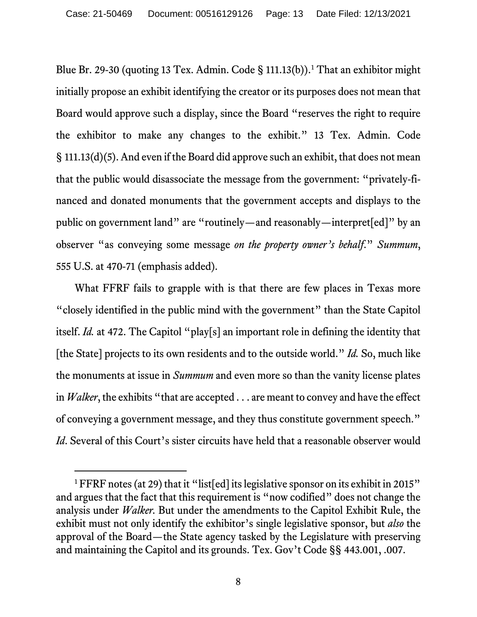<span id="page-12-4"></span><span id="page-12-3"></span>Blue Br. 29-30 (quoting [1](#page-12-5)3 Tex. Admin. Code § 111.13(b)).<sup>1</sup> That an exhibitor might initially propose an exhibit identifying the creator or its purposes does not mean that Board would approve such a display, since the Board "reserves the right to require the exhibitor to make any changes to the exhibit." 13 Tex. Admin. Code § 111.13(d)(5). And even if the Board did approve such an exhibit, that does not mean that the public would disassociate the message from the government: "privately-financed and donated monuments that the government accepts and displays to the public on government land" are "routinely—and reasonably—interpret[ed]" by an observer "as conveying some message *on the property owner's behalf*." *Summum*, 555 U.S. at 470-71 (emphasis added).

<span id="page-12-0"></span>What FFRF fails to grapple with is that there are few places in Texas more "closely identified in the public mind with the government" than the State Capitol itself. *Id.* at 472. The Capitol "play[s] an important role in defining the identity that [the State] projects to its own residents and to the outside world." *Id.* So, much like the monuments at issue in *Summum* and even more so than the vanity license plates in *Walker*, the exhibits "that are accepted . . . are meant to convey and have the effect of conveying a government message, and they thus constitute government speech." *Id*. Several of this Court's sister circuits have held that a reasonable observer would

<span id="page-12-5"></span><span id="page-12-2"></span><span id="page-12-1"></span><sup>&</sup>lt;sup>1</sup> FFRF notes (at 29) that it "list[ed] its legislative sponsor on its exhibit in 2015" and argues that the fact that this requirement is "now codified" does not change the analysis under *Walker.* But under the amendments to the Capitol Exhibit Rule, the exhibit must not only identify the exhibitor's single legislative sponsor, but *also* the approval of the Board—the State agency tasked by the Legislature with preserving and maintaining the Capitol and its grounds. Tex. Gov't Code §§ 443.001, .007.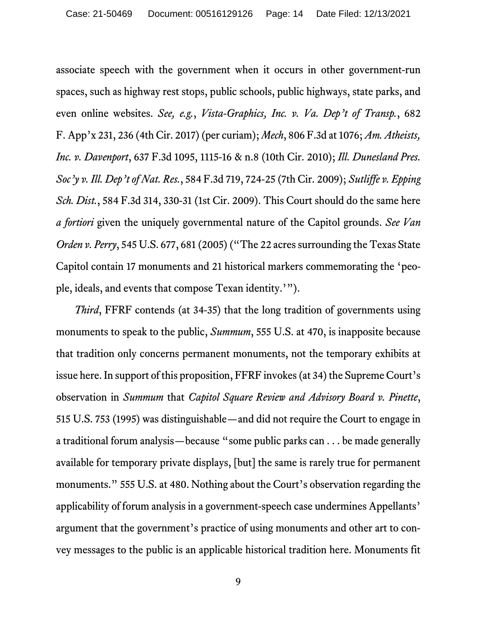<span id="page-13-7"></span><span id="page-13-5"></span><span id="page-13-3"></span><span id="page-13-2"></span><span id="page-13-0"></span>associate speech with the government when it occurs in other government-run spaces, such as highway rest stops, public schools, public highways, state parks, and even online websites. *See, e.g.*, *Vista-Graphics, Inc. v. Va. Dep't of Transp.*, 682 F. App'x 231, 236 (4th Cir. 2017) (per curiam); *Mech*, 806 F.3d at 1076; *Am. Atheists, Inc. v. Davenport*, 637 F.3d 1095, 1115-16 & n.8 (10th Cir. 2010); *Ill. Dunesland Pres. Soc'y v. Ill. Dep't of Nat. Res.*, 584 F.3d 719, 724-25 (7th Cir. 2009); *Sutliffe v. Epping Sch. Dist.*, 584 F.3d 314, 330-31 (1st Cir. 2009). This Court should do the same here *a fortiori* given the uniquely governmental nature of the Capitol grounds. *See Van Orden v. Perry*, 545 U.S. 677, 681 (2005) ("The 22 acres surrounding the Texas State Capitol contain 17 monuments and 21 historical markers commemorating the 'people, ideals, and events that compose Texan identity.'").

<span id="page-13-6"></span><span id="page-13-4"></span><span id="page-13-1"></span>*Third*, FFRF contends (at 34-35) that the long tradition of governments using monuments to speak to the public, *Summum*, 555 U.S. at 470, is inapposite because that tradition only concerns permanent monuments, not the temporary exhibits at issue here. In support of this proposition, FFRF invokes (at 34) the Supreme Court's observation in *Summum* that *Capitol Square Review and Advisory Board v. Pinette*, 515 U.S. 753 (1995) was distinguishable—and did not require the Court to engage in a traditional forum analysis—because "some public parks can . . . be made generally available for temporary private displays, [but] the same is rarely true for permanent monuments." 555 U.S. at 480. Nothing about the Court's observation regarding the applicability of forum analysis in a government-speech case undermines Appellants' argument that the government's practice of using monuments and other art to convey messages to the public is an applicable historical tradition here. Monuments fit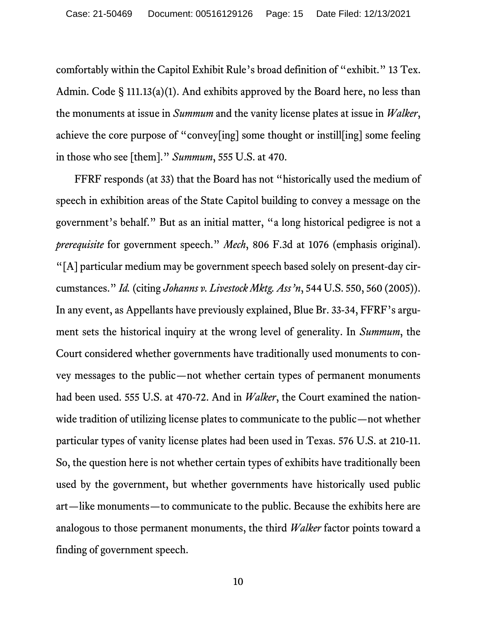<span id="page-14-4"></span><span id="page-14-3"></span><span id="page-14-2"></span>comfortably within the Capitol Exhibit Rule's broad definition of "exhibit." 13 Tex. Admin. Code § 111.13(a)(1). And exhibits approved by the Board here, no less than the monuments at issue in *Summum* and the vanity license plates at issue in *Walker*, achieve the core purpose of "convey[ing] some thought or instill[ing] some feeling in those who see [them]." *Summum*, 555 U.S. at 470.

<span id="page-14-1"></span><span id="page-14-0"></span>FFRF responds (at 33) that the Board has not "historically used the medium of speech in exhibition areas of the State Capitol building to convey a message on the government's behalf." But as an initial matter, "a long historical pedigree is not a *prerequisite* for government speech." *Mech*, 806 F.3d at 1076 (emphasis original). "[A] particular medium may be government speech based solely on present-day circumstances." *Id.* (citing *Johanns v. Livestock Mktg. Ass'n*, 544 U.S. 550, 560 (2005)). In any event, as Appellants have previously explained, Blue Br. 33-34, FFRF's argument sets the historical inquiry at the wrong level of generality. In *Summum*, the Court considered whether governments have traditionally used monuments to convey messages to the public—not whether certain types of permanent monuments had been used. 555 U.S. at 470-72. And in *Walker*, the Court examined the nationwide tradition of utilizing license plates to communicate to the public—not whether particular types of vanity license plates had been used in Texas. 576 U.S. at 210-11. So, the question here is not whether certain types of exhibits have traditionally been used by the government, but whether governments have historically used public art—like monuments—to communicate to the public. Because the exhibits here are analogous to those permanent monuments, the third *Walker* factor points toward a finding of government speech.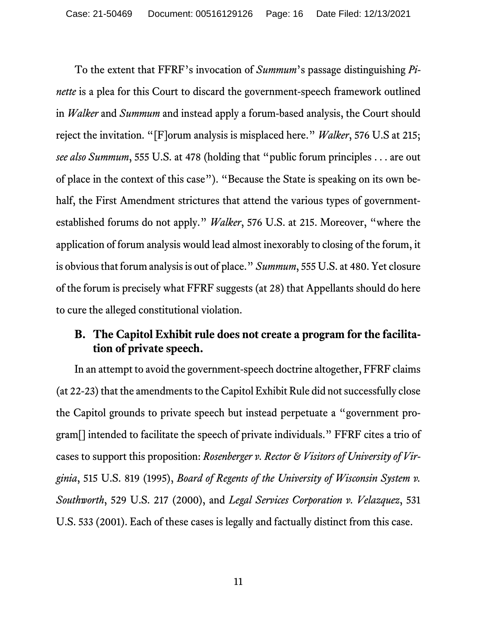<span id="page-15-7"></span><span id="page-15-6"></span><span id="page-15-4"></span><span id="page-15-2"></span>To the extent that FFRF's invocation of *Summum*'s passage distinguishing *Pinette* is a plea for this Court to discard the government-speech framework outlined in *Walker* and *Summum* and instead apply a forum-based analysis, the Court should reject the invitation. "[F]orum analysis is misplaced here." *Walker*, 576 U.S at 215; *see also Summum*, 555 U.S. at 478 (holding that "public forum principles . . . are out of place in the context of this case"). "Because the State is speaking on its own behalf, the First Amendment strictures that attend the various types of governmentestablished forums do not apply." *Walker*, 576 U.S. at 215. Moreover, "where the application of forum analysis would lead almost inexorably to closing of the forum, it is obvious that forum analysis is out of place." *Summum*, 555 U.S. at 480. Yet closure of the forum is precisely what FFRF suggests (at 28) that Appellants should do here to cure the alleged constitutional violation.

## <span id="page-15-0"></span>**B. The Capitol Exhibit rule does not create a program for the facilitation of private speech.**

<span id="page-15-5"></span><span id="page-15-3"></span><span id="page-15-1"></span>In an attempt to avoid the government-speech doctrine altogether, FFRF claims (at 22-23) that the amendments to the Capitol Exhibit Rule did not successfully close the Capitol grounds to private speech but instead perpetuate a "government program[] intended to facilitate the speech of private individuals." FFRF cites a trio of cases to support this proposition: *Rosenberger v. Rector & Visitors of University of Virginia*, 515 U.S. 819 (1995), *Board of Regents of the University of Wisconsin System v. Southworth*, 529 U.S. 217 (2000), and *Legal Services Corporation v. Velazquez*, 531 U.S. 533 (2001). Each of these cases is legally and factually distinct from this case.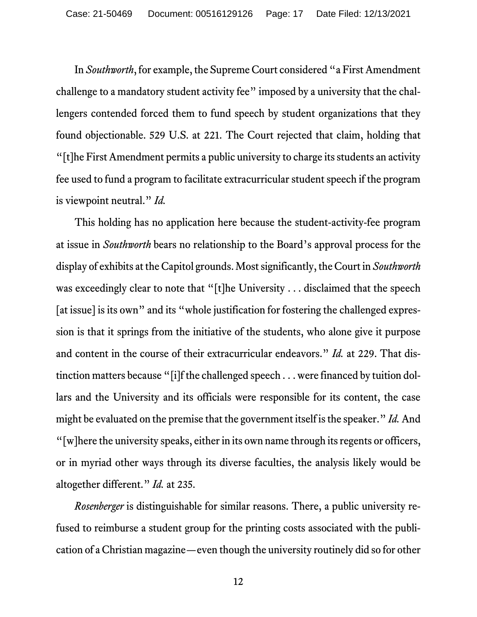<span id="page-16-2"></span><span id="page-16-0"></span>In *Southworth*, for example, the Supreme Court considered "a First Amendment challenge to a mandatory student activity fee" imposed by a university that the challengers contended forced them to fund speech by student organizations that they found objectionable. 529 U.S. at 221. The Court rejected that claim, holding that "[t]he First Amendment permits a public university to charge its students an activity fee used to fund a program to facilitate extracurricular student speech if the program is viewpoint neutral." *Id.*

This holding has no application here because the student-activity-fee program at issue in *Southworth* bears no relationship to the Board's approval process for the display of exhibits at the Capitol grounds. Most significantly, the Court in *Southworth* was exceedingly clear to note that "[t]he University . . . disclaimed that the speech [at issue] is its own" and its "whole justification for fostering the challenged expression is that it springs from the initiative of the students, who alone give it purpose and content in the course of their extracurricular endeavors." *Id.* at 229. That distinction matters because "[i]f the challenged speech . . . were financed by tuition dollars and the University and its officials were responsible for its content, the case might be evaluated on the premise that the government itself is the speaker." *Id.*And "[w]here the university speaks, either in its own name through its regents or officers, or in myriad other ways through its diverse faculties, the analysis likely would be altogether different." *Id.* at 235.

<span id="page-16-1"></span>*Rosenberger* is distinguishable for similar reasons. There, a public university refused to reimburse a student group for the printing costs associated with the publication of a Christian magazine—even though the university routinely did so for other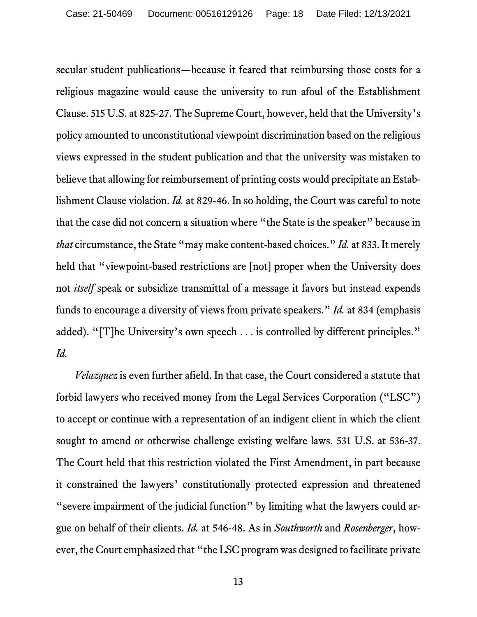<span id="page-17-2"></span>secular student publications—because it feared that reimbursing those costs for a religious magazine would cause the university to run afoul of the Establishment Clause. 515 U.S. at 825-27. The Supreme Court, however, held that the University's policy amounted to unconstitutional viewpoint discrimination based on the religious views expressed in the student publication and that the university was mistaken to believe that allowing for reimbursement of printing costs would precipitate an Establishment Clause violation. *Id.* at 829-46. In so holding, the Court was careful to note that the case did not concern a situation where "the State is the speaker" because in *that* circumstance, the State "may make content-based choices." *Id.* at 833. It merely held that "viewpoint-based restrictions are [not] proper when the University does not *itself* speak or subsidize transmittal of a message it favors but instead expends funds to encourage a diversity of views from private speakers." *Id.* at 834 (emphasis added). "[T]he University's own speech . . . is controlled by different principles." *Id.*

<span id="page-17-3"></span><span id="page-17-1"></span><span id="page-17-0"></span>*Velazquez* is even further afield. In that case, the Court considered a statute that forbid lawyers who received money from the Legal Services Corporation ("LSC") to accept or continue with a representation of an indigent client in which the client sought to amend or otherwise challenge existing welfare laws. 531 U.S. at 536-37. The Court held that this restriction violated the First Amendment, in part because it constrained the lawyers' constitutionally protected expression and threatened "severe impairment of the judicial function" by limiting what the lawyers could argue on behalf of their clients. *Id.* at 546-48. As in *Southworth* and *Rosenberger*, however, the Court emphasized that "the LSC program was designed to facilitate private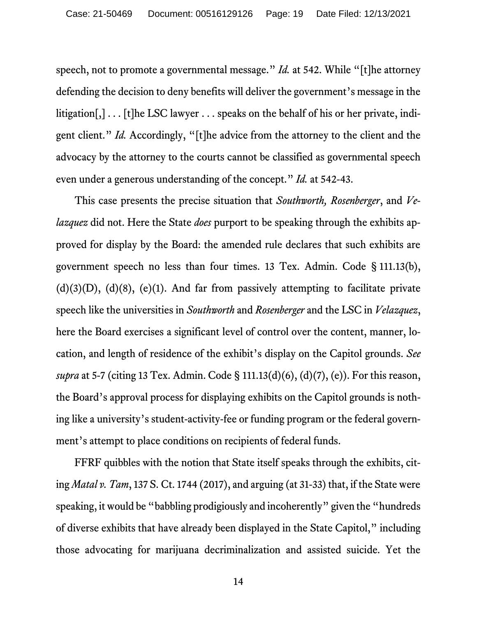<span id="page-18-1"></span>speech, not to promote a governmental message." *Id.* at 542. While "[t]he attorney defending the decision to deny benefits will deliver the government's message in the litigation[,] . . . [t]he LSC lawyer . . . speaks on the behalf of his or her private, indigent client." *Id.* Accordingly, "[t]he advice from the attorney to the client and the advocacy by the attorney to the courts cannot be classified as governmental speech even under a generous understanding of the concept." *Id.* at 542-43.

<span id="page-18-4"></span><span id="page-18-3"></span><span id="page-18-0"></span>This case presents the precise situation that *Southworth, Rosenberger*, and *Velazquez* did not. Here the State *does* purport to be speaking through the exhibits approved for display by the Board: the amended rule declares that such exhibits are government speech no less than four times. 13 Tex. Admin. Code § 111.13(b),  $(d)(3)(D)$ ,  $(d)(8)$ ,  $(e)(1)$ . And far from passively attempting to facilitate private speech like the universities in *Southworth* and *Rosenberger* and the LSC in *Velazquez*, here the Board exercises a significant level of control over the content, manner, location, and length of residence of the exhibit's display on the Capitol grounds. *See supra* at 5-7 (citing 13 Tex. Admin. Code § 111.13(d)(6), (d)(7), (e)). For this reason, the Board's approval process for displaying exhibits on the Capitol grounds is nothing like a university's student-activity-fee or funding program or the federal government's attempt to place conditions on recipients of federal funds.

<span id="page-18-5"></span><span id="page-18-2"></span>FFRF quibbles with the notion that State itself speaks through the exhibits, citing *Matal v. Tam*, 137 S. Ct. 1744 (2017), and arguing (at 31-33) that, if the State were speaking, it would be "babbling prodigiously and incoherently" given the "hundreds of diverse exhibits that have already been displayed in the State Capitol," including those advocating for marijuana decriminalization and assisted suicide. Yet the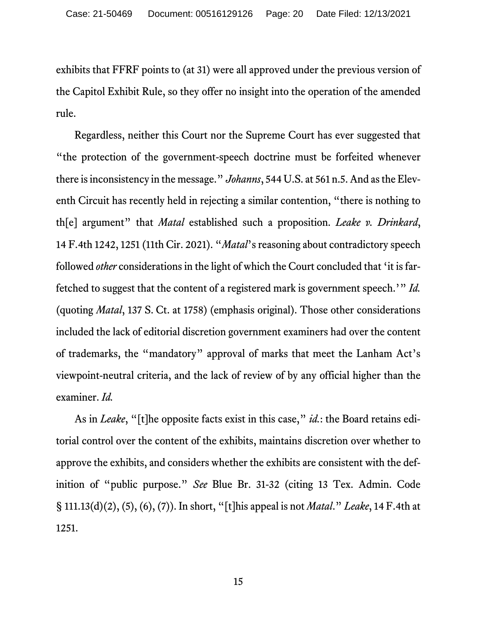exhibits that FFRF points to (at 31) were all approved under the previous version of the Capitol Exhibit Rule, so they offer no insight into the operation of the amended rule.

<span id="page-19-2"></span><span id="page-19-1"></span><span id="page-19-0"></span>Regardless, neither this Court nor the Supreme Court has ever suggested that "the protection of the government-speech doctrine must be forfeited whenever there is inconsistency in the message." *Johanns*, 544 U.S. at 561 n.5. And as the Eleventh Circuit has recently held in rejecting a similar contention, "there is nothing to th[e] argument" that *Matal* established such a proposition. *Leake v. Drinkard*, 14 F.4th 1242, 1251 (11th Cir. 2021). "*Matal*'s reasoning about contradictory speech followed *other* considerations in the light of which the Court concluded that 'it is farfetched to suggest that the content of a registered mark is government speech.'" *Id.* (quoting *Matal*, 137 S. Ct. at 1758) (emphasis original). Those other considerations included the lack of editorial discretion government examiners had over the content of trademarks, the "mandatory" approval of marks that meet the Lanham Act's viewpoint-neutral criteria, and the lack of review of by any official higher than the examiner. *Id.*

<span id="page-19-3"></span>As in *Leake*, "[t]he opposite facts exist in this case, " *id.*: the Board retains editorial control over the content of the exhibits, maintains discretion over whether to approve the exhibits, and considers whether the exhibits are consistent with the definition of "public purpose." *See* Blue Br. 31-32 (citing 13 Tex. Admin. Code § 111.13(d)(2), (5), (6), (7)). In short, "[t]his appeal is not *Matal*." *Leake*, 14 F.4th at 1251.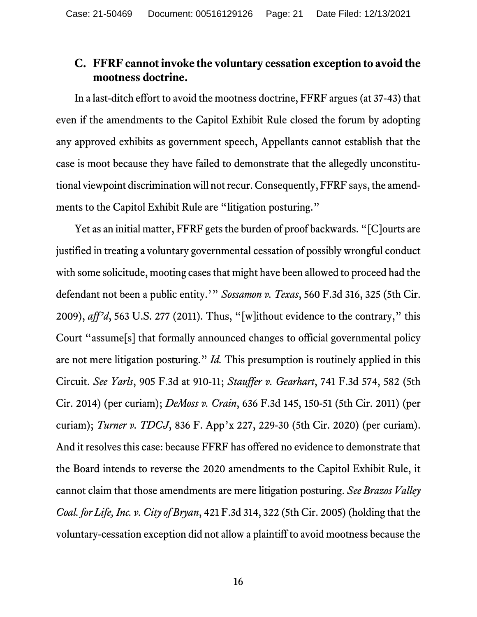#### <span id="page-20-0"></span>**C. FFRF cannot invoke the voluntary cessation exception to avoid the mootness doctrine.**

In a last-ditch effort to avoid the mootness doctrine, FFRF argues(at 37-43) that even if the amendments to the Capitol Exhibit Rule closed the forum by adopting any approved exhibits as government speech, Appellants cannot establish that the case is moot because they have failed to demonstrate that the allegedly unconstitutional viewpoint discrimination will not recur.Consequently, FFRF says, the amendments to the Capitol Exhibit Rule are "litigation posturing."

<span id="page-20-6"></span><span id="page-20-5"></span><span id="page-20-4"></span><span id="page-20-3"></span><span id="page-20-2"></span><span id="page-20-1"></span>Yet as an initial matter, FFRF gets the burden of proof backwards. "[C]ourts are justified in treating a voluntary governmental cessation of possibly wrongful conduct with some solicitude, mooting cases that might have been allowed to proceed had the defendant not been a public entity.'" *Sossamon v. Texas*, 560 F.3d 316, 325 (5th Cir. 2009), *aff'd*, 563 U.S. 277 (2011). Thus, "[w]ithout evidence to the contrary," this Court "assume[s] that formally announced changes to official governmental policy are not mere litigation posturing." *Id.* This presumption is routinely applied in this Circuit. *See Yarls*, 905 F.3d at 910-11; *Stauffer v. Gearhart*, 741 F.3d 574, 582 (5th Cir. 2014) (per curiam); *DeMoss v. Crain*, 636 F.3d 145, 150-51 (5th Cir. 2011) (per curiam); *Turner v. TDCJ*, 836 F. App'x 227, 229-30 (5th Cir. 2020) (per curiam). And it resolves this case: because FFRF has offered no evidence to demonstrate that the Board intends to reverse the 2020 amendments to the Capitol Exhibit Rule, it cannot claim that those amendments are mere litigation posturing. *See Brazos Valley Coal. for Life, Inc. v. City of Bryan*, 421 F.3d 314, 322 (5th Cir. 2005) (holding that the voluntary-cessation exception did not allow a plaintiff to avoid mootness because the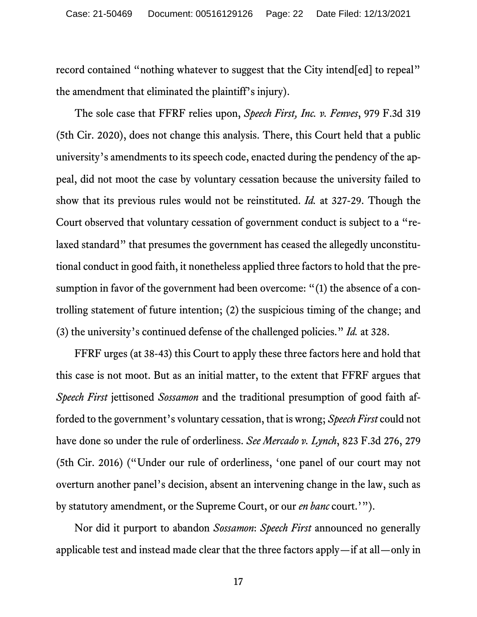record contained "nothing whatever to suggest that the City intend[ed] to repeal" the amendment that eliminated the plaintiff's injury).

<span id="page-21-2"></span>The sole case that FFRF relies upon, *Speech First, Inc. v. Fenves*, 979 F.3d 319 (5th Cir. 2020), does not change this analysis. There, this Court held that a public university's amendments to its speech code, enacted during the pendency of the appeal, did not moot the case by voluntary cessation because the university failed to show that its previous rules would not be reinstituted. *Id.* at 327-29. Though the Court observed that voluntary cessation of government conduct is subject to a "relaxed standard" that presumes the government has ceased the allegedly unconstitutional conduct in good faith, it nonetheless applied three factors to hold that the presumption in favor of the government had been overcome: "(1) the absence of a controlling statement of future intention; (2) the suspicious timing of the change; and (3) the university's continued defense of the challenged policies." *Id.* at 328.

<span id="page-21-1"></span><span id="page-21-0"></span>FFRF urges (at 38-43) this Court to apply these three factors here and hold that this case is not moot. But as an initial matter, to the extent that FFRF argues that *Speech First* jettisoned *Sossamon* and the traditional presumption of good faith afforded to the government's voluntary cessation, that is wrong; *Speech First* could not have done so under the rule of orderliness. *See Mercado v. Lynch*, 823 F.3d 276, 279 (5th Cir. 2016) ("Under our rule of orderliness, 'one panel of our court may not overturn another panel's decision, absent an intervening change in the law, such as by statutory amendment, or the Supreme Court, or our *en banc* court.'").

Nor did it purport to abandon *Sossamon*: *Speech First* announced no generally applicable test and instead made clear that the three factors apply—if at all—only in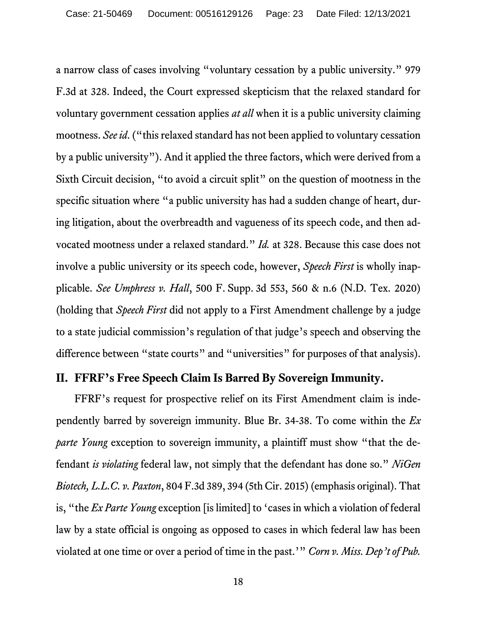a narrow class of cases involving "voluntary cessation by a public university." 979 F.3d at 328. Indeed, the Court expressed skepticism that the relaxed standard for voluntary government cessation applies *at all* when it is a public university claiming mootness. *See id*. ("this relaxed standard has not been applied to voluntary cessation by a public university"). And it applied the three factors, which were derived from a Sixth Circuit decision, "to avoid a circuit split" on the question of mootness in the specific situation where "a public university has had a sudden change of heart, during litigation, about the overbreadth and vagueness of its speech code, and then advocated mootness under a relaxed standard." *Id.* at 328. Because this case does not involve a public university or its speech code, however, *Speech First* is wholly inapplicable. *See Umphress v. Hall*, 500 F. Supp. 3d 553, 560 & n.6 (N.D. Tex. 2020) (holding that *Speech First* did not apply to a First Amendment challenge by a judge to a state judicial commission's regulation of that judge's speech and observing the difference between "state courts" and "universities" for purposes of that analysis).

#### <span id="page-22-4"></span><span id="page-22-3"></span><span id="page-22-0"></span>**II. FFRF's Free Speech Claim Is Barred By Sovereign Immunity.**

<span id="page-22-2"></span><span id="page-22-1"></span>FFRF's request for prospective relief on its First Amendment claim is independently barred by sovereign immunity. Blue Br. 34-38. To come within the *Ex parte Young* exception to sovereign immunity, a plaintiff must show "that the defendant *is violating* federal law, not simply that the defendant has done so." *NiGen Biotech, L.L.C. v. Paxton*, 804 F.3d 389, 394 (5th Cir. 2015) (emphasis original). That is, "the *Ex Parte Young* exception [is limited] to 'cases in which a violation of federal law by a state official is ongoing as opposed to cases in which federal law has been violated at one time or over a period of time in the past.'" *Corn v. Miss. Dep't of Pub.*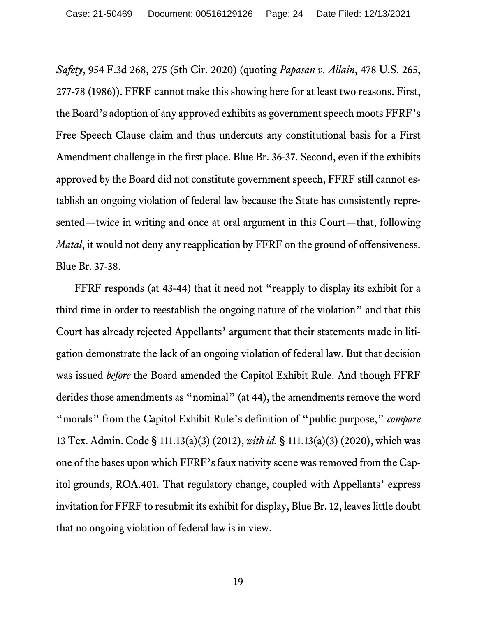<span id="page-23-2"></span><span id="page-23-1"></span>*Safety*, 954 F.3d 268, 275 (5th Cir. 2020) (quoting *Papasan v. Allain*, 478 U.S. 265, 277-78 (1986)). FFRF cannot make this showing here for at least two reasons. First, the Board's adoption of any approved exhibits as government speech moots FFRF's Free Speech Clause claim and thus undercuts any constitutional basis for a First Amendment challenge in the first place. Blue Br. 36-37. Second, even if the exhibits approved by the Board did not constitute government speech, FFRF still cannot establish an ongoing violation of federal law because the State has consistently represented—twice in writing and once at oral argument in this Court—that, following *Matal*, it would not deny any reapplication by FFRF on the ground of offensiveness. Blue Br. 37-38.

<span id="page-23-3"></span><span id="page-23-0"></span>FFRF responds (at 43-44) that it need not "reapply to display its exhibit for a third time in order to reestablish the ongoing nature of the violation" and that this Court has already rejected Appellants' argument that their statements made in litigation demonstrate the lack of an ongoing violation of federal law. But that decision was issued *before* the Board amended the Capitol Exhibit Rule. And though FFRF derides those amendments as "nominal" (at 44), the amendments remove the word "morals" from the Capitol Exhibit Rule's definition of "public purpose," *compare*  13 Tex. Admin. Code § 111.13(a)(3) (2012), *with id.* § 111.13(a)(3) (2020), which was one of the bases upon which FFRF's faux nativity scene was removed from the Capitol grounds, ROA.401. That regulatory change, coupled with Appellants' express invitation for FFRF to resubmit its exhibit for display, Blue Br. 12, leaves little doubt that no ongoing violation of federal law is in view.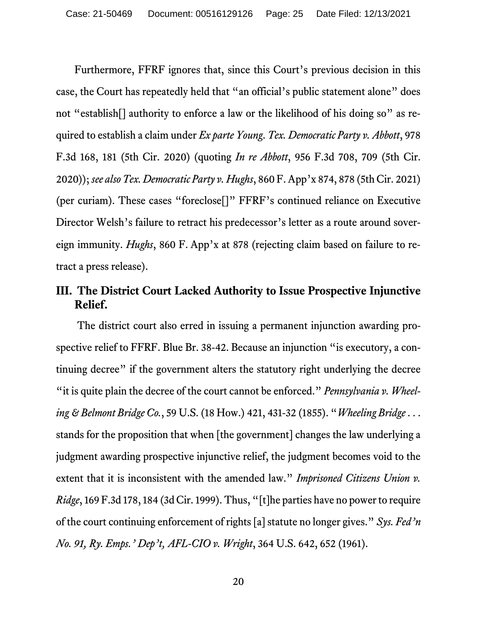<span id="page-24-6"></span><span id="page-24-5"></span><span id="page-24-1"></span>Furthermore, FFRF ignores that, since this Court's previous decision in this case, the Court has repeatedly held that "an official's public statement alone" does not "establish[] authority to enforce a law or the likelihood of his doing so" as required to establish a claim under *Ex parte Young*. *Tex. Democratic Party v. Abbott*, 978 F.3d 168, 181 (5th Cir. 2020) (quoting *In re Abbott*, 956 F.3d 708, 709 (5th Cir. 2020)); *see also Tex. Democratic Party v. Hughs*, 860 F. App'x 874, 878 (5th Cir. 2021) (per curiam). These cases "foreclose[]" FFRF's continued reliance on Executive Director Welsh's failure to retract his predecessor's letter as a route around sovereign immunity. *Hughs*, 860 F. App'x at 878 (rejecting claim based on failure to retract a press release).

### <span id="page-24-0"></span>**III. The District Court Lacked Authority to Issue Prospective Injunctive Relief.**

<span id="page-24-4"></span><span id="page-24-3"></span><span id="page-24-2"></span>The district court also erred in issuing a permanent injunction awarding prospective relief to FFRF. Blue Br. 38-42. Because an injunction "is executory, a continuing decree" if the government alters the statutory right underlying the decree "it is quite plain the decree of the court cannot be enforced." *Pennsylvania v. Wheeling & Belmont Bridge Co.*, 59 U.S. (18 How.) 421, 431-32 (1855). "*Wheeling Bridge* . . . stands for the proposition that when [the government] changes the law underlying a judgment awarding prospective injunctive relief, the judgment becomes void to the extent that it is inconsistent with the amended law." *Imprisoned Citizens Union v. Ridge*, 169 F.3d 178, 184 (3d Cir. 1999). Thus, "[t]he parties have no power to require of the court continuing enforcement of rights [a] statute no longer gives." *Sys. Fed'n No. 91, Ry. Emps.' Dep't, AFL-CIO v. Wright*, 364 U.S. 642, 652 (1961).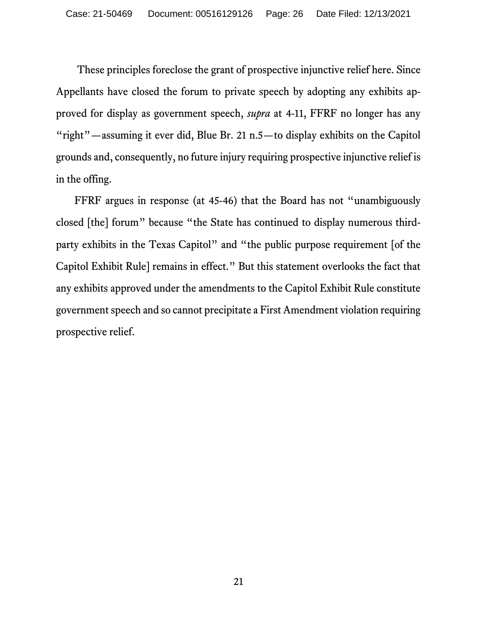These principles foreclose the grant of prospective injunctive relief here. Since Appellants have closed the forum to private speech by adopting any exhibits approved for display as government speech, *supra* at 4-11, FFRF no longer has any "right"—assuming it ever did, Blue Br. 21 n.5—to display exhibits on the Capitol grounds and, consequently, no future injury requiring prospective injunctive relief is in the offing.

<span id="page-25-0"></span>FFRF argues in response (at 45-46) that the Board has not "unambiguously closed [the] forum" because "the State has continued to display numerous thirdparty exhibits in the Texas Capitol" and "the public purpose requirement [of the Capitol Exhibit Rule] remains in effect." But this statement overlooks the fact that any exhibits approved under the amendments to the Capitol Exhibit Rule constitute government speech and so cannot precipitate a First Amendment violation requiring prospective relief.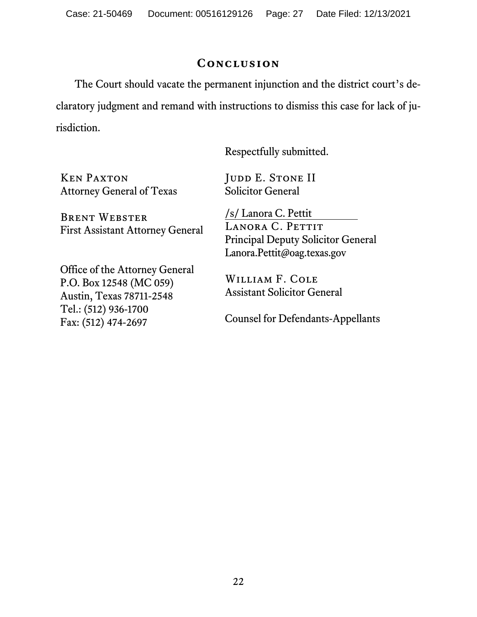Case: 21-50469 Document: 00516129126 Page: 27 Date Filed: 12/13/2021

#### **Conclusion**

<span id="page-26-0"></span>The Court should vacate the permanent injunction and the district court's declaratory judgment and remand with instructions to dismiss this case for lack of jurisdiction.

Respectfully submitted.

Ken Paxton Attorney General of Texas

Brent Webster First Assistant Attorney General

Office of the Attorney General P.O. Box 12548 (MC 059) Austin, Texas 78711-2548 Tel.: (512) 936-1700 Fax: (512) 474-2697

JUDD E. STONE II Solicitor General

/s/ Lanora C. Pettit LANORA C. PETTIT Principal Deputy Solicitor General Lanora.Pettit@oag.texas.gov

William F. Cole Assistant Solicitor General

Counsel for Defendants-Appellants